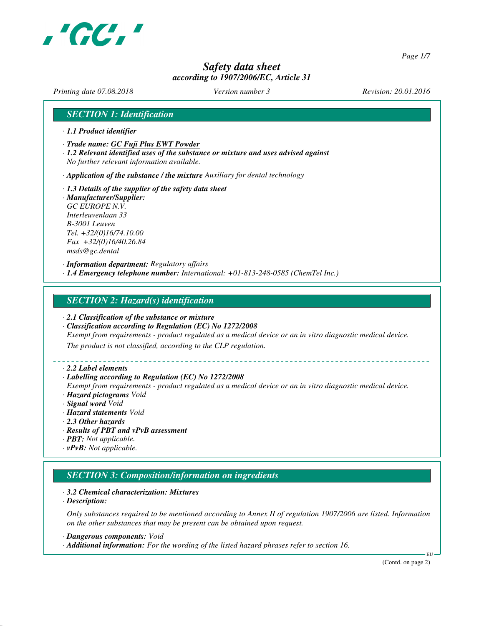

*Page 1/7*

# *Safety data sheet according to 1907/2006/EC, Article 31*

*Printing date 07.08.2018 Version number 3 Revision: 20.01.2016*

# *SECTION 1: Identification*

- *· 1.1 Product identifier*
- *· Trade name: GC Fuji Plus EWT Powder*
- *· 1.2 Relevant identified uses of the substance or mixture and uses advised against No further relevant information available.*
- *· Application of the substance / the mixture Auxiliary for dental technology*
- *· 1.3 Details of the supplier of the safety data sheet · Manufacturer/Supplier: GC EUROPE N.V. Interleuvenlaan 33 B-3001 Leuven Tel. +32/(0)16/74.10.00 Fax +32/(0)16/40.26.84 msds@gc.dental*

*· Information department: Regulatory affairs · 1.4 Emergency telephone number: International: +01-813-248-0585 (ChemTel Inc.)*

# *SECTION 2: Hazard(s) identification*

- *· 2.1 Classification of the substance or mixture*
- *· Classification according to Regulation (EC) No 1272/2008*
- *Exempt from requirements product regulated as a medical device or an in vitro diagnostic medical device.*

*The product is not classified, according to the CLP regulation.*

### *· 2.2 Label elements*

### *· Labelling according to Regulation (EC) No 1272/2008*

- *Exempt from requirements product regulated as a medical device or an in vitro diagnostic medical device. · Hazard pictograms Void*
- *· Signal word Void*
- *· Hazard statements Void*
- *· 2.3 Other hazards*
- *· Results of PBT and vPvB assessment*
- *· PBT: Not applicable.*
- *· vPvB: Not applicable.*

# *SECTION 3: Composition/information on ingredients*

### *· 3.2 Chemical characterization: Mixtures*

*· Description:*

*Only substances required to be mentioned according to Annex II of regulation 1907/2006 are listed. Information on the other substances that may be present can be obtained upon request.*

*· Dangerous components: Void*

*· Additional information: For the wording of the listed hazard phrases refer to section 16.*

(Contd. on page 2)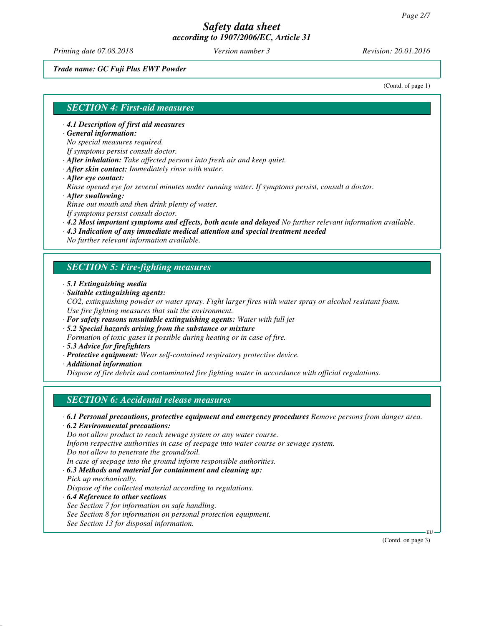*Printing date 07.08.2018 Version number 3 Revision: 20.01.2016*

## *Trade name: GC Fuji Plus EWT Powder*

(Contd. of page 1)

## *SECTION 4: First-aid measures*

- *· 4.1 Description of first aid measures*
- *· General information:*

*No special measures required.*

- *If symptoms persist consult doctor.*
- *· After inhalation: Take affected persons into fresh air and keep quiet.*
- *· After skin contact: Immediately rinse with water.*
- *· After eye contact:*

*Rinse opened eye for several minutes under running water. If symptoms persist, consult a doctor. · After swallowing:*

- *Rinse out mouth and then drink plenty of water.*
- *If symptoms persist consult doctor.*
- *· 4.2 Most important symptoms and effects, both acute and delayed No further relevant information available.*
- *· 4.3 Indication of any immediate medical attention and special treatment needed*

*No further relevant information available.*

# *SECTION 5: Fire-fighting measures*

- *· 5.1 Extinguishing media*
- *· Suitable extinguishing agents:*
- *CO2, extinguishing powder or water spray. Fight larger fires with water spray or alcohol resistant foam. Use fire fighting measures that suit the environment.*
- *· For safety reasons unsuitable extinguishing agents: Water with full jet*
- *· 5.2 Special hazards arising from the substance or mixture*
- *Formation of toxic gases is possible during heating or in case of fire.*
- *· 5.3 Advice for firefighters*
- *· Protective equipment: Wear self-contained respiratory protective device.*
- *· Additional information*

*Dispose of fire debris and contaminated fire fighting water in accordance with official regulations.*

# *SECTION 6: Accidental release measures*

*· 6.1 Personal precautions, protective equipment and emergency procedures Remove persons from danger area.*

*· 6.2 Environmental precautions:*

*Do not allow product to reach sewage system or any water course.*

*Inform respective authorities in case of seepage into water course or sewage system.*

*Do not allow to penetrate the ground/soil.*

*In case of seepage into the ground inform responsible authorities.*

*· 6.3 Methods and material for containment and cleaning up:*

- *Pick up mechanically. Dispose of the collected material according to regulations.*
- *· 6.4 Reference to other sections See Section 7 for information on safe handling. See Section 8 for information on personal protection equipment. See Section 13 for disposal information.*

(Contd. on page 3)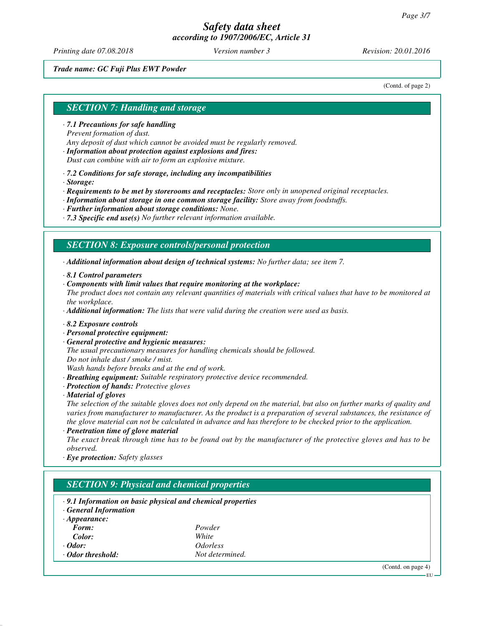*Printing date 07.08.2018 Version number 3 Revision: 20.01.2016*

## *Trade name: GC Fuji Plus EWT Powder*

(Contd. of page 2)

# *SECTION 7: Handling and storage*

- *· 7.1 Precautions for safe handling Prevent formation of dust. Any deposit of dust which cannot be avoided must be regularly removed.*
- *· Information about protection against explosions and fires: Dust can combine with air to form an explosive mixture.*
- *· 7.2 Conditions for safe storage, including any incompatibilities*
- *· Storage:*

*· Requirements to be met by storerooms and receptacles: Store only in unopened original receptacles.*

- *· Information about storage in one common storage facility: Store away from foodstuffs.*
- *· Further information about storage conditions: None.*
- *· 7.3 Specific end use(s) No further relevant information available.*

## *SECTION 8: Exposure controls/personal protection*

*· Additional information about design of technical systems: No further data; see item 7.*

- *· 8.1 Control parameters*
- *· Components with limit values that require monitoring at the workplace:*
- *The product does not contain any relevant quantities of materials with critical values that have to be monitored at the workplace.*

*· Additional information: The lists that were valid during the creation were used as basis.*

- *· 8.2 Exposure controls*
- *· Personal protective equipment:*
- *· General protective and hygienic measures:*

*The usual precautionary measures for handling chemicals should be followed. Do not inhale dust / smoke / mist.*

*Wash hands before breaks and at the end of work.*

- *· Breathing equipment: Suitable respiratory protective device recommended.*
- *· Protection of hands: Protective gloves*
- *· Material of gloves*

*The selection of the suitable gloves does not only depend on the material, but also on further marks of quality and varies from manufacturer to manufacturer. As the product is a preparation of several substances, the resistance of the glove material can not be calculated in advance and has therefore to be checked prior to the application.*

*· Penetration time of glove material*

*The exact break through time has to be found out by the manufacturer of the protective gloves and has to be observed.*

*· Eye protection: Safety glasses*

# *SECTION 9: Physical and chemical properties*

- *· 9.1 Information on basic physical and chemical properties*
- *· General Information*

| $\cdot$ Appearance: |                        |
|---------------------|------------------------|
| Form:               | Powder                 |
| Color:              | White                  |
| $\cdot$ Odor:       | <i><b>Odorless</b></i> |
| ⋅ Odor threshold:   | Not determined.        |

(Contd. on page 4)

EU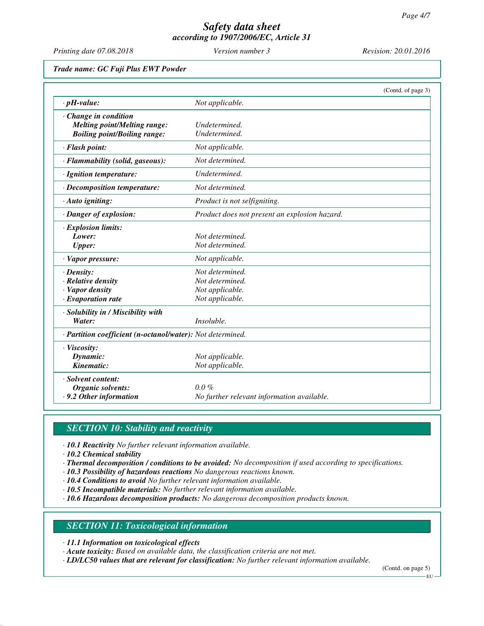*Printing date 07.08.2018 Version number 3 Revision: 20.01.2016*

## *Trade name: GC Fuji Plus EWT Powder*

|                                                            |                                               | (Contd. of page 3) |
|------------------------------------------------------------|-----------------------------------------------|--------------------|
| $\cdot$ pH-value:                                          | Not applicable.                               |                    |
| Change in condition                                        |                                               |                    |
| <b>Melting point/Melting range:</b>                        | Undetermined.                                 |                    |
| <b>Boiling point/Boiling range:</b>                        | Undetermined.                                 |                    |
| · Flash point:                                             | Not applicable.                               |                    |
| · Flammability (solid, gaseous):                           | Not determined.                               |                    |
| · Ignition temperature:                                    | Undetermined.                                 |                    |
| · Decomposition temperature:                               | Not determined.                               |                    |
| · Auto igniting:                                           | Product is not selfigniting.                  |                    |
| · Danger of explosion:                                     | Product does not present an explosion hazard. |                    |
| · Explosion limits:                                        |                                               |                    |
| Lower:                                                     | Not determined.                               |                    |
| <b>Upper:</b>                                              | Not determined.                               |                    |
| · Vapor pressure:                                          | Not applicable.                               |                    |
| $\cdot$ Density:                                           | Not determined.                               |                    |
| $\cdot$ Relative density                                   | Not determined.                               |                    |
| · Vapor density                                            | Not applicable.                               |                    |
| $\cdot$ Evaporation rate                                   | Not applicable.                               |                    |
| · Solubility in / Miscibility with                         |                                               |                    |
| Water:                                                     | <i>Insoluble.</i>                             |                    |
| · Partition coefficient (n-octanol/water): Not determined. |                                               |                    |
| · Viscosity:                                               |                                               |                    |
| Dynamic:                                                   | Not applicable.                               |                    |
| Kinematic:                                                 | Not applicable.                               |                    |
| · Solvent content:                                         |                                               |                    |
| Organic solvents:                                          | $0.0\%$                                       |                    |
| .9.2 Other information                                     | No further relevant information available.    |                    |

# *SECTION 10: Stability and reactivity*

*· 10.1 Reactivity No further relevant information available.*

*· 10.2 Chemical stability*

- *· Thermal decomposition / conditions to be avoided: No decomposition if used according to specifications.*
- *· 10.3 Possibility of hazardous reactions No dangerous reactions known.*
- *· 10.4 Conditions to avoid No further relevant information available.*
- *· 10.5 Incompatible materials: No further relevant information available.*
- *· 10.6 Hazardous decomposition products: No dangerous decomposition products known.*

# *SECTION 11: Toxicological information*

*· 11.1 Information on toxicological effects*

*· Acute toxicity: Based on available data, the classification criteria are not met.*

*· LD/LC50 values that are relevant for classification: No further relevant information available.*

(Contd. on page 5)

EU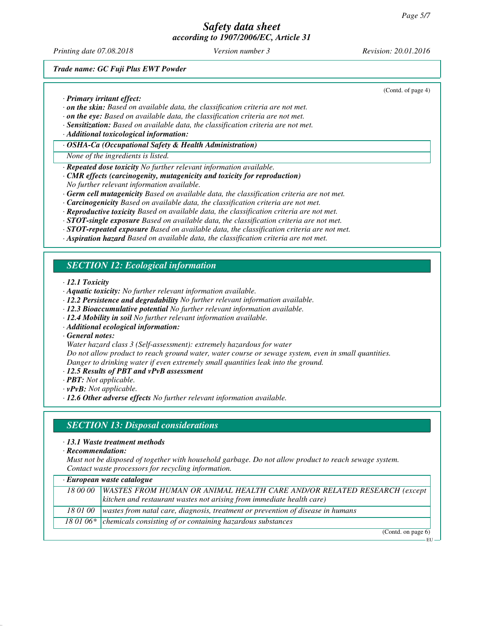*Printing date 07.08.2018 Version number 3 Revision: 20.01.2016*

(Contd. of page 4)

*Trade name: GC Fuji Plus EWT Powder*

*· Primary irritant effect:*

- *· on the skin: Based on available data, the classification criteria are not met.*
- *· on the eye: Based on available data, the classification criteria are not met.*
- *· Sensitization: Based on available data, the classification criteria are not met.*
- *· Additional toxicological information:*
- *· OSHA-Ca (Occupational Safety & Health Administration)*
- *None of the ingredients is listed.*
- *· Repeated dose toxicity No further relevant information available.*
- *· CMR effects (carcinogenity, mutagenicity and toxicity for reproduction)*
- *No further relevant information available.*
- *· Germ cell mutagenicity Based on available data, the classification criteria are not met.*
- *· Carcinogenicity Based on available data, the classification criteria are not met.*
- *· Reproductive toxicity Based on available data, the classification criteria are not met.*
- *· STOT-single exposure Based on available data, the classification criteria are not met.*
- *· STOT-repeated exposure Based on available data, the classification criteria are not met.*
- *· Aspiration hazard Based on available data, the classification criteria are not met.*

# *SECTION 12: Ecological information*

*· 12.1 Toxicity*

- *· Aquatic toxicity: No further relevant information available.*
- *· 12.2 Persistence and degradability No further relevant information available.*
- *· 12.3 Bioaccumulative potential No further relevant information available.*
- *· 12.4 Mobility in soil No further relevant information available.*
- *· Additional ecological information:*

*· General notes:*

*Water hazard class 3 (Self-assessment): extremely hazardous for water*

*Do not allow product to reach ground water, water course or sewage system, even in small quantities. Danger to drinking water if even extremely small quantities leak into the ground.*

- *· 12.5 Results of PBT and vPvB assessment*
- *· PBT: Not applicable.*
- *· vPvB: Not applicable.*
- *· 12.6 Other adverse effects No further relevant information available.*

# *SECTION 13: Disposal considerations*

- *· 13.1 Waste treatment methods*
- *· Recommendation:*

*Must not be disposed of together with household garbage. Do not allow product to reach sewage system. Contact waste processors for recycling information.*

| · European waste catalogue |                                                                                 |
|----------------------------|---------------------------------------------------------------------------------|
| 18 00 00                   | WASTES FROM HUMAN OR ANIMAL HEALTH CARE AND/OR RELATED RESEARCH (except         |
|                            | $\vert$ kitchen and restaurant wastes not arising from immediate health care)   |
| 18 01 00                   | wastes from natal care, diagnosis, treatment or prevention of disease in humans |
|                            | 18 01 06* $\vert$ chemicals consisting of or containing hazardous substances    |

(Contd. on page 6)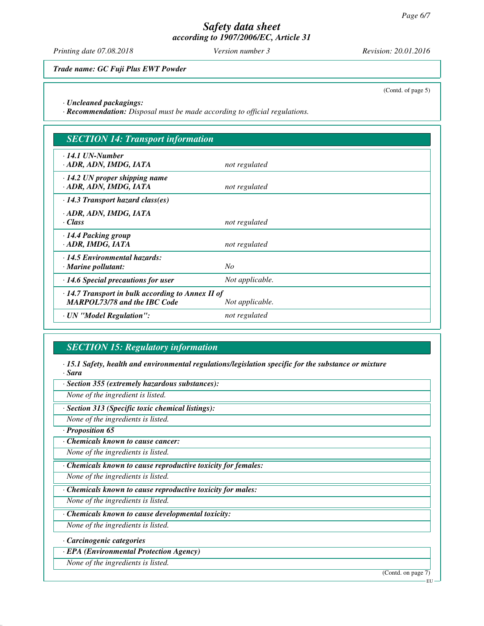*Printing date 07.08.2018 Version number 3 Revision: 20.01.2016*

*Trade name: GC Fuji Plus EWT Powder*

(Contd. of page 5)

*· Uncleaned packagings:*

*· Recommendation: Disposal must be made according to official regulations.*

| <b>SECTION 14: Transport information</b>                                                                          |                 |
|-------------------------------------------------------------------------------------------------------------------|-----------------|
| $\cdot$ 14.1 UN-Number<br>· ADR, ADN, IMDG, IATA                                                                  | not regulated   |
| $\cdot$ 14.2 UN proper shipping name<br>· ADR, ADN, IMDG, IATA                                                    | not regulated   |
| $\cdot$ 14.3 Transport hazard class(es)                                                                           |                 |
| · ADR, ADN, IMDG, IATA<br>· Class                                                                                 | not regulated   |
| $\cdot$ 14.4 Packing group<br>· ADR, IMDG, IATA                                                                   | not regulated   |
| $\cdot$ 14.5 Environmental hazards:<br>$\cdot$ Marine pollutant:                                                  | No              |
| $\cdot$ 14.6 Special precautions for user                                                                         | Not applicable. |
| $\cdot$ 14.7 Transport in bulk according to Annex II of<br><b>MARPOL73/78 and the IBC Code</b><br>Not applicable. |                 |
| · UN "Model Regulation":                                                                                          | not regulated   |

# *SECTION 15: Regulatory information*

*· 15.1 Safety, health and environmental regulations/legislation specific for the substance or mixture · Sara*

*· Section 355 (extremely hazardous substances):*

*None of the ingredient is listed.*

*· Section 313 (Specific toxic chemical listings):*

*None of the ingredients is listed.*

*· Proposition 65*

*· Chemicals known to cause cancer:*

*None of the ingredients is listed.*

*· Chemicals known to cause reproductive toxicity for females:*

*None of the ingredients is listed.*

*· Chemicals known to cause reproductive toxicity for males:*

*None of the ingredients is listed.*

*· Chemicals known to cause developmental toxicity:*

*None of the ingredients is listed.*

*· Carcinogenic categories*

*· EPA (Environmental Protection Agency)*

*None of the ingredients is listed.*

(Contd. on page 7)

EU